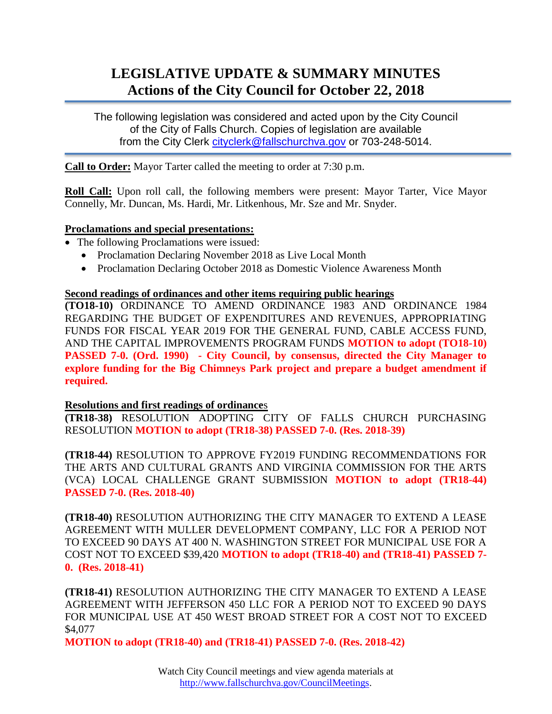# **LEGISLATIVE UPDATE & SUMMARY MINUTES Actions of the City Council for October 22, 2018**

The following legislation was considered and acted upon by the City Council of the City of Falls Church. Copies of legislation are available from the City Clerk [cityclerk@fallschurchva.gov](mailto:cityclerk@fallschurchva.gov) or 703-248-5014.

**Call to Order:** Mayor Tarter called the meeting to order at 7:30 p.m.

**Roll Call:** Upon roll call, the following members were present: Mayor Tarter, Vice Mayor Connelly, Mr. Duncan, Ms. Hardi, Mr. Litkenhous, Mr. Sze and Mr. Snyder.

## **Proclamations and special presentations:**

- The following Proclamations were issued:
	- Proclamation Declaring November 2018 as Live Local Month
	- Proclamation Declaring October 2018 as Domestic Violence Awareness Month

#### **Second readings of ordinances and other items requiring public hearings**

**(TO18-10)** ORDINANCE TO AMEND ORDINANCE 1983 AND ORDINANCE 1984 REGARDING THE BUDGET OF EXPENDITURES AND REVENUES, APPROPRIATING FUNDS FOR FISCAL YEAR 2019 FOR THE GENERAL FUND, CABLE ACCESS FUND, AND THE CAPITAL IMPROVEMENTS PROGRAM FUNDS **MOTION to adopt (TO18-10) PASSED 7-0. (Ord. 1990) - City Council, by consensus, directed the City Manager to explore funding for the Big Chimneys Park project and prepare a budget amendment if required.**

## **Resolutions and first readings of ordinance**s

**(TR18-38)** RESOLUTION ADOPTING CITY OF FALLS CHURCH PURCHASING RESOLUTION **MOTION to adopt (TR18-38) PASSED 7-0. (Res. 2018-39)**

**(TR18-44)** RESOLUTION TO APPROVE FY2019 FUNDING RECOMMENDATIONS FOR THE ARTS AND CULTURAL GRANTS AND VIRGINIA COMMISSION FOR THE ARTS (VCA) LOCAL CHALLENGE GRANT SUBMISSION **MOTION to adopt (TR18-44) PASSED 7-0. (Res. 2018-40)**

**(TR18-40)** RESOLUTION AUTHORIZING THE CITY MANAGER TO EXTEND A LEASE AGREEMENT WITH MULLER DEVELOPMENT COMPANY, LLC FOR A PERIOD NOT TO EXCEED 90 DAYS AT 400 N. WASHINGTON STREET FOR MUNICIPAL USE FOR A COST NOT TO EXCEED \$39,420 **MOTION to adopt (TR18-40) and (TR18-41) PASSED 7- 0. (Res. 2018-41)**

**(TR18-41)** RESOLUTION AUTHORIZING THE CITY MANAGER TO EXTEND A LEASE AGREEMENT WITH JEFFERSON 450 LLC FOR A PERIOD NOT TO EXCEED 90 DAYS FOR MUNICIPAL USE AT 450 WEST BROAD STREET FOR A COST NOT TO EXCEED \$4,077

**MOTION to adopt (TR18-40) and (TR18-41) PASSED 7-0. (Res. 2018-42)**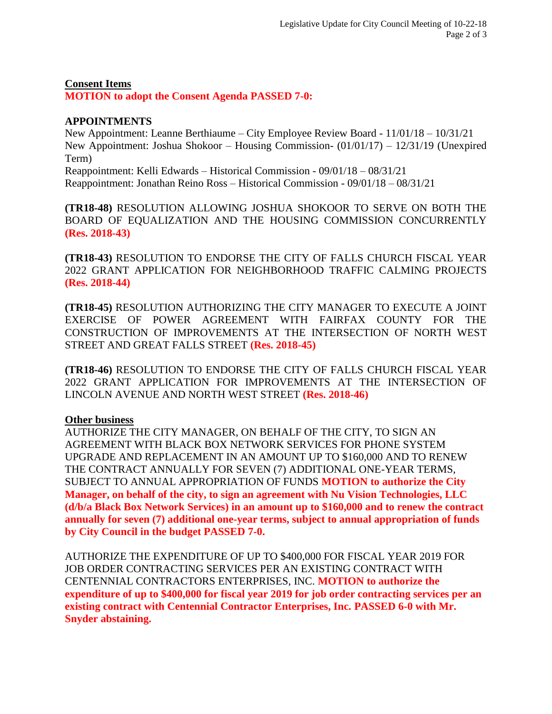## **Consent Items MOTION to adopt the Consent Agenda PASSED 7-0:**

## **APPOINTMENTS**

New Appointment: Leanne Berthiaume – City Employee Review Board - 11/01/18 – 10/31/21 New Appointment: Joshua Shokoor – Housing Commission- (01/01/17) – 12/31/19 (Unexpired Term) Reappointment: Kelli Edwards – Historical Commission - 09/01/18 – 08/31/21 Reappointment: Jonathan Reino Ross – Historical Commission - 09/01/18 – 08/31/21

**(TR18-48)** RESOLUTION ALLOWING JOSHUA SHOKOOR TO SERVE ON BOTH THE BOARD OF EQUALIZATION AND THE HOUSING COMMISSION CONCURRENTLY **(Res. 2018-43)**

**(TR18-43)** RESOLUTION TO ENDORSE THE CITY OF FALLS CHURCH FISCAL YEAR 2022 GRANT APPLICATION FOR NEIGHBORHOOD TRAFFIC CALMING PROJECTS **(Res. 2018-44)**

**(TR18-45)** RESOLUTION AUTHORIZING THE CITY MANAGER TO EXECUTE A JOINT EXERCISE OF POWER AGREEMENT WITH FAIRFAX COUNTY FOR THE CONSTRUCTION OF IMPROVEMENTS AT THE INTERSECTION OF NORTH WEST STREET AND GREAT FALLS STREET **(Res. 2018-45)**

**(TR18-46)** RESOLUTION TO ENDORSE THE CITY OF FALLS CHURCH FISCAL YEAR 2022 GRANT APPLICATION FOR IMPROVEMENTS AT THE INTERSECTION OF LINCOLN AVENUE AND NORTH WEST STREET **(Res. 2018-46)**

## **Other business**

AUTHORIZE THE CITY MANAGER, ON BEHALF OF THE CITY, TO SIGN AN AGREEMENT WITH BLACK BOX NETWORK SERVICES FOR PHONE SYSTEM UPGRADE AND REPLACEMENT IN AN AMOUNT UP TO \$160,000 AND TO RENEW THE CONTRACT ANNUALLY FOR SEVEN (7) ADDITIONAL ONE-YEAR TERMS, SUBJECT TO ANNUAL APPROPRIATION OF FUNDS **MOTION to authorize the City Manager, on behalf of the city, to sign an agreement with Nu Vision Technologies, LLC (d/b/a Black Box Network Services) in an amount up to \$160,000 and to renew the contract annually for seven (7) additional one-year terms, subject to annual appropriation of funds by City Council in the budget PASSED 7-0.**

AUTHORIZE THE EXPENDITURE OF UP TO \$400,000 FOR FISCAL YEAR 2019 FOR JOB ORDER CONTRACTING SERVICES PER AN EXISTING CONTRACT WITH CENTENNIAL CONTRACTORS ENTERPRISES, INC. **MOTION to authorize the expenditure of up to \$400,000 for fiscal year 2019 for job order contracting services per an existing contract with Centennial Contractor Enterprises, Inc. PASSED 6-0 with Mr. Snyder abstaining.**